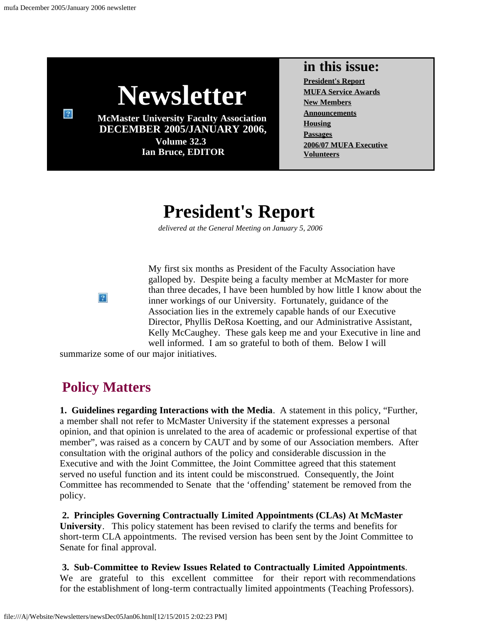

### **in this issue:**

**[President's Report](#page-0-0) [MUFA Service Awards](#page-3-0) [New Members](#page-4-0) [Announcements](#page-4-1) [Housing](#page-5-0) [Passages](#page-5-1) [2006/07 MUFA Executive](#page-5-2) [Volunteers](#page-6-0)**

# **President's Report**

*delivered at the General Meeting on January 5, 2006*

My first six months as President of the Faculty Association have galloped by. Despite being a faculty member at McMaster for more than three decades, I have been humbled by how little I know about the inner workings of our University. Fortunately, guidance of the Association lies in the extremely capable hands of our Executive Director, Phyllis DeRosa Koetting, and our Administrative Assistant, Kelly McCaughey. These gals keep me and your Executive in line and well informed. I am so grateful to both of them. Below I will

summarize some of our major initiatives.

## **Policy Matters**

<span id="page-0-0"></span> $\overline{?}$ 

**1. Guidelines regarding Interactions with the Media**. A statement in this policy, "Further, a member shall not refer to McMaster University if the statement expresses a personal opinion, and that opinion is unrelated to the area of academic or professional expertise of that member", was raised as a concern by CAUT and by some of our Association members. After consultation with the original authors of the policy and considerable discussion in the Executive and with the Joint Committee, the Joint Committee agreed that this statement served no useful function and its intent could be misconstrued. Consequently, the Joint Committee has recommended to Senate that the 'offending' statement be removed from the policy.

**2. Principles Governing Contractually Limited Appointments (CLAs) At McMaster University**. This policy statement has been revised to clarify the terms and benefits for short-term CLA appointments. The revised version has been sent by the Joint Committee to Senate for final approval.

**3. Sub-Committee to Review Issues Related to Contractually Limited Appointments**. We are grateful to this excellent committee for their report with recommendations for the establishment of long-term contractually limited appointments (Teaching Professors).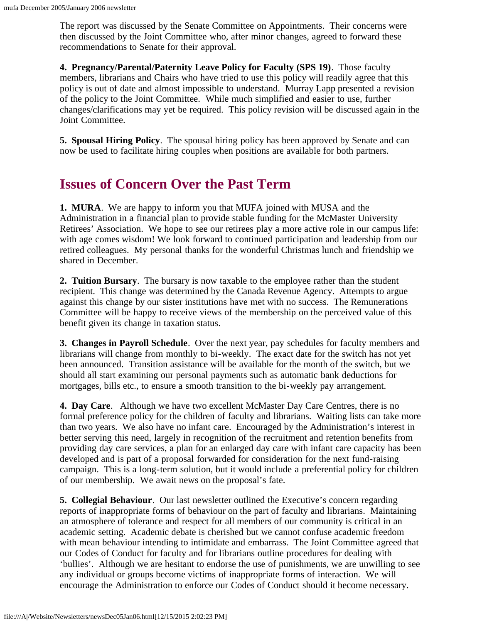The report was discussed by the Senate Committee on Appointments. Their concerns were then discussed by the Joint Committee who, after minor changes, agreed to forward these recommendations to Senate for their approval.

**4. Pregnancy/Parental/Paternity Leave Policy for Faculty (SPS 19)**. Those faculty members, librarians and Chairs who have tried to use this policy will readily agree that this policy is out of date and almost impossible to understand. Murray Lapp presented a revision of the policy to the Joint Committee. While much simplified and easier to use, further changes/clarifications may yet be required. This policy revision will be discussed again in the Joint Committee.

**5. Spousal Hiring Policy**. The spousal hiring policy has been approved by Senate and can now be used to facilitate hiring couples when positions are available for both partners.

### **Issues of Concern Over the Past Term**

**1. MURA**. We are happy to inform you that MUFA joined with MUSA and the Administration in a financial plan to provide stable funding for the McMaster University Retirees' Association. We hope to see our retirees play a more active role in our campus life: with age comes wisdom! We look forward to continued participation and leadership from our retired colleagues. My personal thanks for the wonderful Christmas lunch and friendship we shared in December.

**2. Tuition Bursary**. The bursary is now taxable to the employee rather than the student recipient. This change was determined by the Canada Revenue Agency. Attempts to argue against this change by our sister institutions have met with no success. The Remunerations Committee will be happy to receive views of the membership on the perceived value of this benefit given its change in taxation status.

**3. Changes in Payroll Schedule**. Over the next year, pay schedules for faculty members and librarians will change from monthly to bi-weekly. The exact date for the switch has not yet been announced. Transition assistance will be available for the month of the switch, but we should all start examining our personal payments such as automatic bank deductions for mortgages, bills etc., to ensure a smooth transition to the bi-weekly pay arrangement.

**4. Day Care**. Although we have two excellent McMaster Day Care Centres, there is no formal preference policy for the children of faculty and librarians. Waiting lists can take more than two years. We also have no infant care. Encouraged by the Administration's interest in better serving this need, largely in recognition of the recruitment and retention benefits from providing day care services, a plan for an enlarged day care with infant care capacity has been developed and is part of a proposal forwarded for consideration for the next fund-raising campaign. This is a long-term solution, but it would include a preferential policy for children of our membership. We await news on the proposal's fate.

**5. Collegial Behaviour**. Our last newsletter outlined the Executive's concern regarding reports of inappropriate forms of behaviour on the part of faculty and librarians. Maintaining an atmosphere of tolerance and respect for all members of our community is critical in an academic setting. Academic debate is cherished but we cannot confuse academic freedom with mean behaviour intending to intimidate and embarrass. The Joint Committee agreed that our Codes of Conduct for faculty and for librarians outline procedures for dealing with 'bullies'. Although we are hesitant to endorse the use of punishments, we are unwilling to see any individual or groups become victims of inappropriate forms of interaction. We will encourage the Administration to enforce our Codes of Conduct should it become necessary.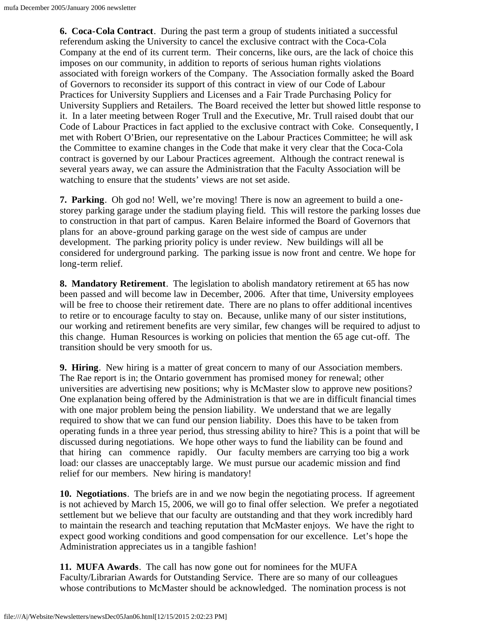**6. Coca-Cola Contract**. During the past term a group of students initiated a successful referendum asking the University to cancel the exclusive contract with the Coca-Cola Company at the end of its current term. Their concerns, like ours, are the lack of choice this imposes on our community, in addition to reports of serious human rights violations associated with foreign workers of the Company. The Association formally asked the Board of Governors to reconsider its support of this contract in view of our Code of Labour Practices for University Suppliers and Licenses and a Fair Trade Purchasing Policy for University Suppliers and Retailers. The Board received the letter but showed little response to it. In a later meeting between Roger Trull and the Executive, Mr. Trull raised doubt that our Code of Labour Practices in fact applied to the exclusive contract with Coke. Consequently, I met with Robert O'Brien, our representative on the Labour Practices Committee; he will ask the Committee to examine changes in the Code that make it very clear that the Coca-Cola contract is governed by our Labour Practices agreement. Although the contract renewal is several years away, we can assure the Administration that the Faculty Association will be watching to ensure that the students' views are not set aside.

**7. Parking**. Oh god no! Well, we're moving! There is now an agreement to build a onestorey parking garage under the stadium playing field. This will restore the parking losses due to construction in that part of campus. Karen Belaire informed the Board of Governors that plans for an above-ground parking garage on the west side of campus are under development. The parking priority policy is under review. New buildings will all be considered for underground parking. The parking issue is now front and centre. We hope for long-term relief.

**8. Mandatory Retirement**. The legislation to abolish mandatory retirement at 65 has now been passed and will become law in December, 2006. After that time, University employees will be free to choose their retirement date. There are no plans to offer additional incentives to retire or to encourage faculty to stay on. Because, unlike many of our sister institutions, our working and retirement benefits are very similar, few changes will be required to adjust to this change. Human Resources is working on policies that mention the 65 age cut-off. The transition should be very smooth for us.

**9. Hiring**. New hiring is a matter of great concern to many of our Association members. The Rae report is in; the Ontario government has promised money for renewal; other universities are advertising new positions; why is McMaster slow to approve new positions? One explanation being offered by the Administration is that we are in difficult financial times with one major problem being the pension liability. We understand that we are legally required to show that we can fund our pension liability. Does this have to be taken from operating funds in a three year period, thus stressing ability to hire? This is a point that will be discussed during negotiations. We hope other ways to fund the liability can be found and that hiring can commence rapidly. Our faculty members are carrying too big a work load: our classes are unacceptably large. We must pursue our academic mission and find relief for our members. New hiring is mandatory!

**10. Negotiations**. The briefs are in and we now begin the negotiating process. If agreement is not achieved by March 15, 2006, we will go to final offer selection. We prefer a negotiated settlement but we believe that our faculty are outstanding and that they work incredibly hard to maintain the research and teaching reputation that McMaster enjoys. We have the right to expect good working conditions and good compensation for our excellence. Let's hope the Administration appreciates us in a tangible fashion!

**11. MUFA Awards**. The call has now gone out for nominees for the MUFA Faculty/Librarian Awards for Outstanding Service. There are so many of our colleagues whose contributions to McMaster should be acknowledged. The nomination process is not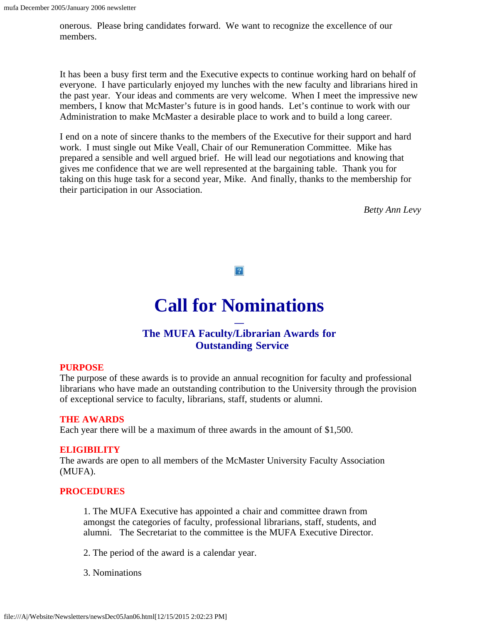onerous. Please bring candidates forward. We want to recognize the excellence of our members.

It has been a busy first term and the Executive expects to continue working hard on behalf of everyone. I have particularly enjoyed my lunches with the new faculty and librarians hired in the past year. Your ideas and comments are very welcome. When I meet the impressive new members, I know that McMaster's future is in good hands. Let's continue to work with our Administration to make McMaster a desirable place to work and to build a long career.

<span id="page-3-0"></span>I end on a note of sincere thanks to the members of the Executive for their support and hard work. I must single out Mike Veall, Chair of our Remuneration Committee. Mike has prepared a sensible and well argued brief. He will lead our negotiations and knowing that gives me confidence that we are well represented at the bargaining table. Thank you for taking on this huge task for a second year, Mike. And finally, thanks to the membership for their participation in our Association.

*Betty Ann Levy*

 $|2|$ 

# **Call for Nominations**

#### **— The MUFA Faculty/Librarian Awards for Outstanding Service**

#### **PURPOSE**

The purpose of these awards is to provide an annual recognition for faculty and professional librarians who have made an outstanding contribution to the University through the provision of exceptional service to faculty, librarians, staff, students or alumni.

#### **THE AWARDS**

Each year there will be a maximum of three awards in the amount of \$1,500.

#### **ELIGIBILITY**

The awards are open to all members of the McMaster University Faculty Association (MUFA).

#### **PROCEDURES**

1. The MUFA Executive has appointed a chair and committee drawn from amongst the categories of faculty, professional librarians, staff, students, and alumni. The Secretariat to the committee is the MUFA Executive Director.

2. The period of the award is a calendar year.

3. Nominations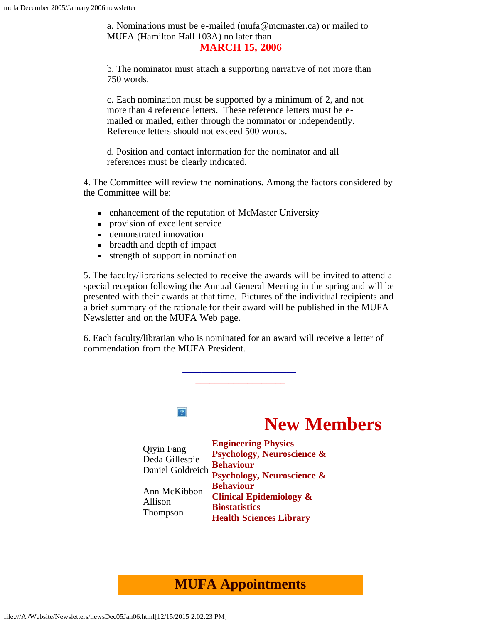a. Nominations must be e-mailed (mufa@mcmaster.ca) or mailed to MUFA (Hamilton Hall 103A) no later than

#### **MARCH 15, 2006**

b. The nominator must attach a supporting narrative of not more than 750 words.

c. Each nomination must be supported by a minimum of 2, and not more than 4 reference letters. These reference letters must be emailed or mailed, either through the nominator or independently. Reference letters should not exceed 500 words.

d. Position and contact information for the nominator and all references must be clearly indicated.

4. The Committee will review the nominations. Among the factors considered by the Committee will be:

- enhancement of the reputation of McMaster University
- provision of excellent service
- demonstrated innovation
- breadth and depth of impact
- strength of support in nomination

5. The faculty/librarians selected to receive the awards will be invited to attend a special reception following the Annual General Meeting in the spring and will be presented with their awards at that time. Pictures of the individual recipients and a brief summary of the rationale for their award will be published in the MUFA Newsletter and on the MUFA Web page.

<span id="page-4-0"></span>6. Each faculty/librarian who is nominated for an award will receive a letter of commendation from the MUFA President.

**\_\_\_\_\_\_\_\_\_\_\_\_\_\_\_\_\_\_\_\_\_\_\_\_**



### <span id="page-4-1"></span>**MUFA Appointments**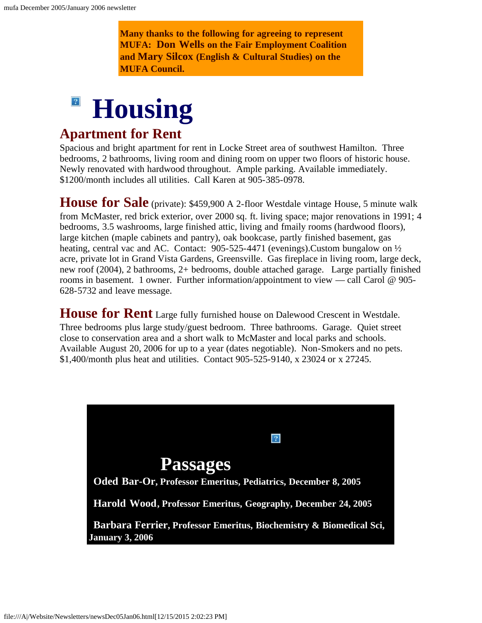**Many thanks to the following for agreeing to represent MUFA: Don Wells on the Fair Employment Coalition and Mary Silcox (English & Cultural Studies) on the MUFA Council.**

## $|2|$ **Housing**

### <span id="page-5-0"></span>**Apartment for Rent**

Spacious and bright apartment for rent in Locke Street area of southwest Hamilton. Three bedrooms, 2 bathrooms, living room and dining room on upper two floors of historic house. Newly renovated with hardwood throughout. Ample parking. Available immediately. \$1200/month includes all utilities. Call Karen at 905-385-0978.

**House for Sale** (private): \$459,900 A 2-floor Westdale vintage House, 5 minute walk from McMaster, red brick exterior, over 2000 sq. ft. living space; major renovations in 1991; 4 bedrooms, 3.5 washrooms, large finished attic, living and fmaily rooms (hardwood floors), large kitchen (maple cabinets and pantry), oak bookcase, partly finished basement, gas heating, central vac and AC. Contact: 905-525-4471 (evenings).Custom bungalow on  $\frac{1}{2}$ acre, private lot in Grand Vista Gardens, Greensville. Gas fireplace in living room, large deck, new roof (2004), 2 bathrooms, 2+ bedrooms, double attached garage. Large partially finished rooms in basement. 1 owner. Further information/appointment to view — call Carol @ 905- 628-5732 and leave message.

**House for Rent** Large fully furnished house on Dalewood Crescent in Westdale. Three bedrooms plus large study/guest bedroom. Three bathrooms. Garage. Quiet street close to conservation area and a short walk to McMaster and local parks and schools. Available August 20, 2006 for up to a year (dates negotiable). Non-Smokers and no pets. \$1,400/month plus heat and utilities. Contact 905-525-9140, x 23024 or x 27245.

<span id="page-5-2"></span><span id="page-5-1"></span>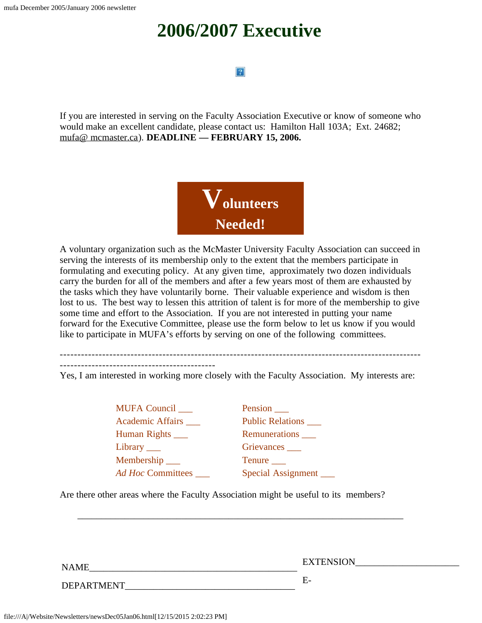# **2006/2007 Executive**

#### $|2|$

<span id="page-6-0"></span>If you are interested in serving on the Faculty Association Executive or know of someone who would make an excellent candidate, please contact us: Hamilton Hall 103A; Ext. 24682; [mufa@ mcmaster.ca\)](mailto:mufa@mcmaster.ca). **DEADLINE — FEBRUARY 15, 2006.**



A voluntary organization such as the McMaster University Faculty Association can succeed in serving the interests of its membership only to the extent that the members participate in formulating and executing policy. At any given time, approximately two dozen individuals carry the burden for all of the members and after a few years most of them are exhausted by the tasks which they have voluntarily borne. Their valuable experience and wisdom is then lost to us. The best way to lessen this attrition of talent is for more of the membership to give some time and effort to the Association. If you are not interested in putting your name forward for the Executive Committee, please use the form below to let us know if you would like to participate in MUFA's efforts by serving on one of the following committees.

------------------------------------------------------------------------------------------------------

Yes, I am interested in working more closely with the Faculty Association. My interests are:

MUFA Council Pension Academic Affairs \_\_\_ Public Relations \_\_\_ Human Rights \_\_\_ Remunerations \_\_\_ Library \_\_\_ Grievances \_\_\_ Membership \_\_\_\_ Tenure \_\_\_

*Ad Hoc* Committees \_\_\_ Special Assignment \_\_\_

Are there other areas where the Faculty Association might be useful to its members?

\_\_\_\_\_\_\_\_\_\_\_\_\_\_\_\_\_\_\_\_\_\_\_\_\_\_\_\_\_\_\_\_\_\_\_\_\_\_\_\_\_\_\_\_\_\_\_\_\_\_\_\_\_\_\_\_\_\_\_\_\_\_\_\_\_\_\_\_\_

NAME\_\_\_\_\_\_\_\_\_\_\_\_\_\_\_\_\_\_\_\_\_\_\_\_\_\_\_\_\_\_\_\_\_\_\_\_\_\_\_\_\_\_\_\_ EXTENSION\_\_\_\_\_\_\_\_\_\_\_\_\_\_\_\_\_\_\_\_\_\_

DEPARTMENT FOR E-